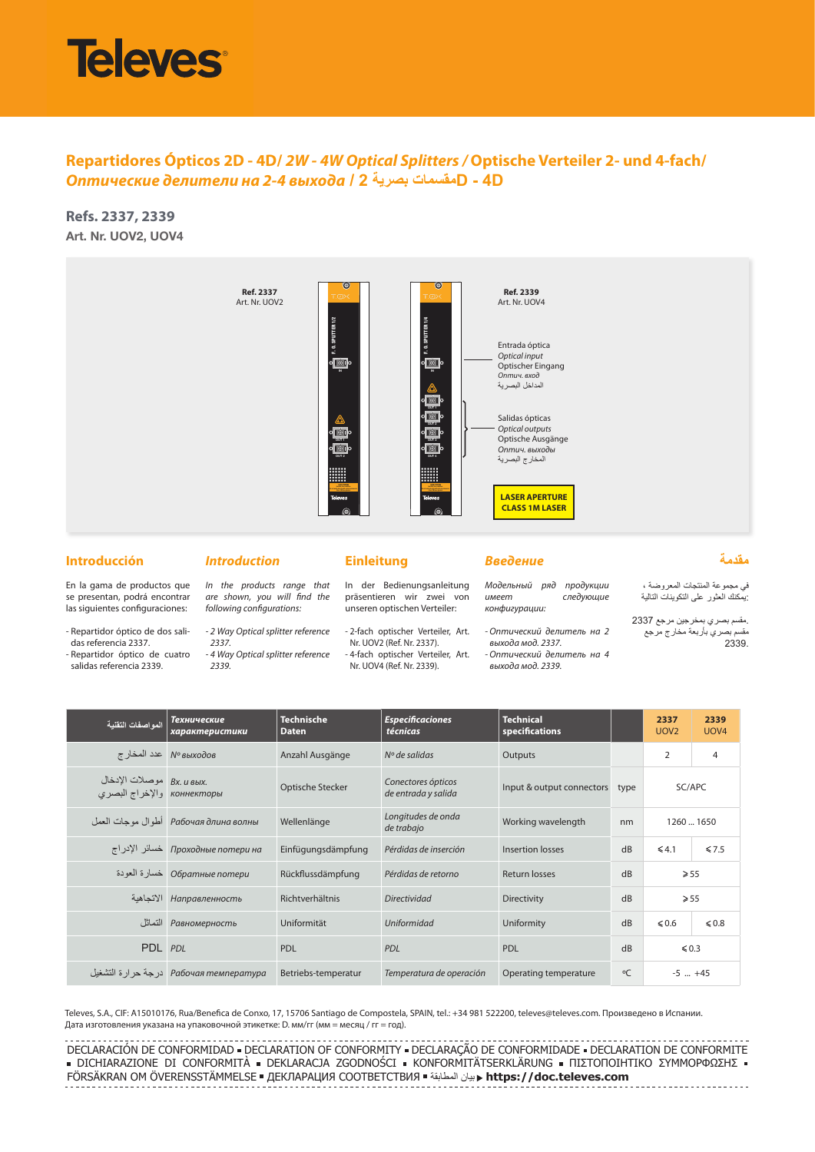# **Televes**

# **Repartidores Ópticos 2D - 4D/** *2W - 4W Optical Splitters /* **Optische Verteiler 2- und 4-fach/**  *Оптические делители на 2-4 выхода* **/ 2 بصرية مقسماتD - 4D**

**Refs. 2337, 2339 Art. Nr. UOV2, UOV4**



## **Introducción**

En la gama de productos que se presentan, podrá encontrar las siguientes configuraciones: - Repartidor óptico de dos salidas referencia 2337. - Repartidor óptico de cuatro salidas referencia 2339.

#### *Introduction*

*2337.*

*2339.*

# *In the products range that*

*are shown, you will find the following configurations: - 2 Way Optical splitter reference* 

*- 4 Way Optical splitter reference* 

#### **Einleitung**

In der Bedienungsanleitung präsentieren wir zwei von unseren optischen Verteiler:

- 2-fach optischer Verteiler, Art. Nr. UOV2 (Ref. Nr. 2337). - 4-fach optischer Verteiler, Art. Nr. UOV4 (Ref. Nr. 2339).

*Введение*

*Модельный ряд продукции имеет следующие конфигурации:*

*- Оптический делитель на 2 выхода мод. 2337. - Оптический делитель на 4 выхода мод. 2339.*

**مقدمة** في مجموعة المنتجات المعروضة ،

:يمكنك العثور على التكوينات التالية .مقسم بصري بمخرجين مرجع 2337 مقسم بصري بأربعة مخارج مرجع

2339.

| المو اصفات التقنبة                       | Технические<br>характеристики                     | Technische<br><b>Daten</b> | <b>Especificaciones</b><br>técnicas       | <b>Technical</b><br><b>specifications</b> |              | 2337<br>UOV <sub>2</sub> | 2339<br>UOV <sub>4</sub> |
|------------------------------------------|---------------------------------------------------|----------------------------|-------------------------------------------|-------------------------------------------|--------------|--------------------------|--------------------------|
|                                          | М° выходов معدد المخارج                           | Anzahl Ausgänge            | $No$ de salidas                           | Outputs                                   |              | $\overline{2}$           | 4                        |
| Bx. и вых.<br>коннекторы والإخراج البصرى |                                                   | Optische Stecker           | Conectores ópticos<br>de entrada y salida | Input & output connectors                 | type         | SC/APC                   |                          |
|                                          | Рабочая длина волны فطو ال مو جات العمل Pабочая д | Wellenlänge                | Longitudes de onda<br>de trabajo          | Working wavelength                        | nm           | 1260  1650               |                          |
|                                          | Проходные потери на خسائر الإدراج                 | Einfügungsdämpfung         | Pérdidas de inserción                     | Insertion losses                          | dB           | $\leq 4.1$               | $\leq 7.5$               |
|                                          | Обратные потери خسارة العودة                      | Rückflussdämpfung          | Pérdidas de retorno                       | Return losses                             | dB           | $\geqslant 55$           |                          |
|                                          | Направленность الاتجاهية                          | Richtverhältnis            | <b>Directividad</b>                       | <b>Directivity</b>                        | dB           | $\geqslant 55$           |                          |
|                                          | Равномерность                                     | Uniformität                | <b>Uniformidad</b>                        | Uniformity                                | dB           | $\leq 0.6$               | $\leq 0.8$               |
| PDL PDL                                  |                                                   | <b>PDL</b>                 | <b>PDL</b>                                | PDL                                       | dB           | $\leq 0.3$               |                          |
|                                          |                                                   | Betriebs-temperatur        | Temperatura de operación                  | Operating temperature                     | $^{\circ}$ C | $-5$ $+45$               |                          |

Televes, S.A., CIF: A15010176, Rua/Benefica de Conxo, 17, 15706 Santiago de Compostela, SPAIN, tel.: +34 981 522200, televes@televes.com. Произведено в Испании. Дата изготовления указана на упаковочной этикетке: D. мм/гг (мм = месяц / гг = год).

DECLARACIÓN DE CONFORMIDAD = DECLARATION OF CONFORMITY = DECLARAÇÃO DE CONFORMIDADE = DECLARATION DE CONFORMITE · DICHIARAZIONE DI CONFORMITÀ · DEKLARACJA ZGODNOŚCI · KONFORMITÄTSERKLÄRUNG · ΠΙΣΤΟΠΟΙΗΤΙΚΟ ΣΥΜΜΟΡΦΩΣΗΣ · FÖRSÄKRAN OM ÖVERENSSTÄMMELSE ДЕКЛАРАЦИЯ СООТВЕТСТВИЯ المطابقة بيان **https://doc.televes.com**